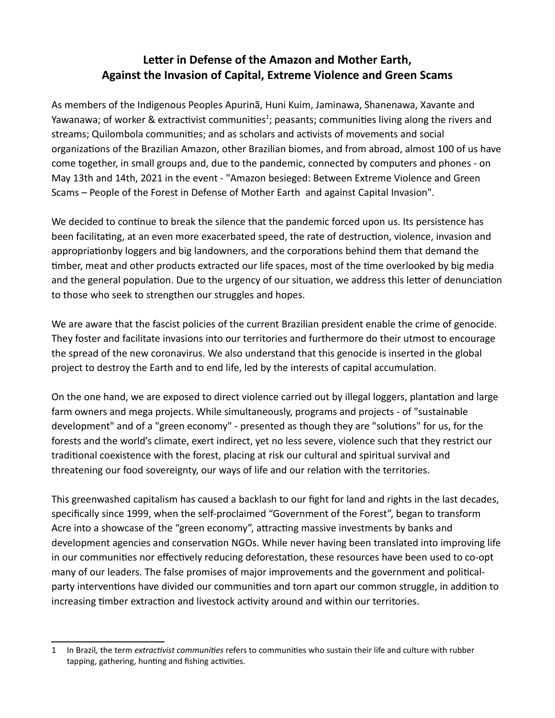## **Letter in Defense of the Amazon and Mother Earth, Against the Invasion of Capital, Extreme Violence and Green Scams**

As members of the Indigenous Peoples Apurinã, Huni Kuim, Jaminawa, Shanenawa, Xavante and Yawanawa; of worker & extractivist communities<sup>[1](#page-0-0)</sup>; peasants; communities living along the rivers and streams; Quilombola communities; and as scholars and activists of movements and social organizations of the Brazilian Amazon, other Brazilian biomes, and from abroad, almost 100 of us have come together, in small groups and, due to the pandemic, connected by computers and phones - on May 13th and 14th, 2021 in the event - "Amazon besieged: Between Extreme Violence and Green Scams – People of the Forest in Defense of Mother Earth and against Capital Invasion".

We decided to continue to break the silence that the pandemic forced upon us. Its persistence has been facilitating, at an even more exacerbated speed, the rate of destruction, violence, invasion and appropriationby loggers and big landowners, and the corporations behind them that demand the timber, meat and other products extracted our life spaces, most of the time overlooked by big media and the general population. Due to the urgency of our situation, we address this letter of denunciation to those who seek to strengthen our struggles and hopes.

We are aware that the fascist policies of the current Brazilian president enable the crime of genocide. They foster and facilitate invasions into our territories and furthermore do their utmost to encourage the spread of the new coronavirus. We also understand that this genocide is inserted in the global project to destroy the Earth and to end life, led by the interests of capital accumulation.

On the one hand, we are exposed to direct violence carried out by illegal loggers, plantation and large farm owners and mega projects. While simultaneously, programs and projects - of "sustainable development" and of a "green economy" - presented as though they are "solutions" for us, for the forests and the world's climate, exert indirect, yet no less severe, violence such that they restrict our traditional coexistence with the forest, placing at risk our cultural and spiritual survival and threatening our food sovereignty, our ways of life and our relation with the territories.

This greenwashed capitalism has caused a backlash to our fight for land and rights in the last decades, specifically since 1999, when the self-proclaimed "Government of the Forest", began to transform Acre into a showcase of the "green economy", attracting massive investments by banks and development agencies and conservation NGOs. While never having been translated into improving life in our communities nor effectively reducing deforestation, these resources have been used to co-opt many of our leaders. The false promises of major improvements and the government and politicalparty interventions have divided our communities and torn apart our common struggle, in addition to increasing timber extraction and livestock activity around and within our territories.

<span id="page-0-0"></span><sup>1</sup> In Brazil*,* the term *extractivist communities* refers to communities who sustain their life and culture with rubber tapping, gathering, hunting and fishing activities.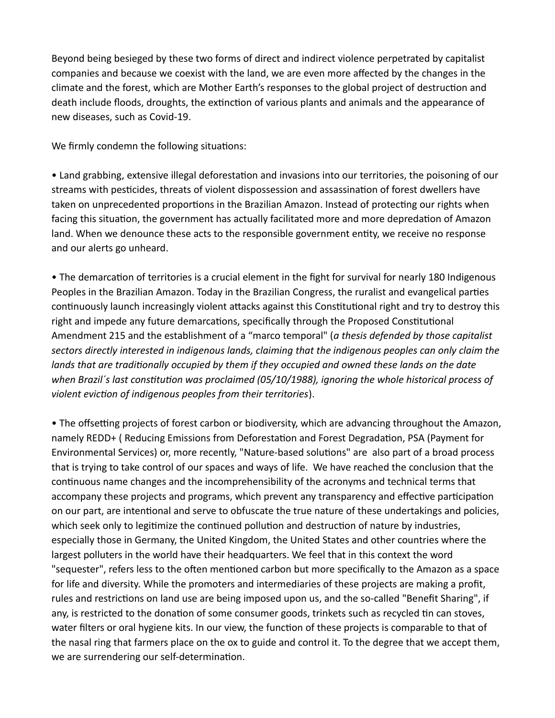Beyond being besieged by these two forms of direct and indirect violence perpetrated by capitalist companies and because we coexist with the land, we are even more affected by the changes in the climate and the forest, which are Mother Earth's responses to the global project of destruction and death include floods, droughts, the extinction of various plants and animals and the appearance of new diseases, such as Covid-19.

We firmly condemn the following situations:

• Land grabbing, extensive illegal deforestation and invasions into our territories, the poisoning of our streams with pesticides, threats of violent dispossession and assassination of forest dwellers have taken on unprecedented proportions in the Brazilian Amazon. Instead of protecting our rights when facing this situation, the government has actually facilitated more and more depredation of Amazon land. When we denounce these acts to the responsible government entity, we receive no response and our alerts go unheard.

• The demarcation of territories is a crucial element in the fight for survival for nearly 180 Indigenous Peoples in the Brazilian Amazon. Today in the Brazilian Congress, the ruralist and evangelical parties continuously launch increasingly violent attacks against this Constitutional right and try to destroy this right and impede any future demarcations, specifically through the Proposed Constitutional Amendment 215 and the establishment of a "marco temporal" (*a thesis defended by those capitalist sectors directly interested in indigenous lands, claiming that the indigenous peoples can only claim the lands that are traditionally occupied by them if they occupied and owned these lands on the date when Brazil´s last constitution was proclaimed (05/10/1988), ignoring the whole historical process of violent eviction of indigenous peoples from their territories*).

• The offsetting projects of forest carbon or biodiversity, which are advancing throughout the Amazon, namely REDD+ ( Reducing Emissions from Deforestation and Forest Degradation, PSA (Payment for Environmental Services) or, more recently, "Nature-based solutions" are also part of a broad process that is trying to take control of our spaces and ways of life. We have reached the conclusion that the continuous name changes and the incomprehensibility of the acronyms and technical terms that accompany these projects and programs, which prevent any transparency and effective participation on our part, are intentional and serve to obfuscate the true nature of these undertakings and policies, which seek only to legitimize the continued pollution and destruction of nature by industries, especially those in Germany, the United Kingdom, the United States and other countries where the largest polluters in the world have their headquarters. We feel that in this context the word "sequester", refers less to the often mentioned carbon but more specifically to the Amazon as a space for life and diversity. While the promoters and intermediaries of these projects are making a profit, rules and restrictions on land use are being imposed upon us, and the so-called "Benefit Sharing", if any, is restricted to the donation of some consumer goods, trinkets such as recycled tin can stoves, water filters or oral hygiene kits. In our view, the function of these projects is comparable to that of the nasal ring that farmers place on the ox to guide and control it. To the degree that we accept them, we are surrendering our self-determination.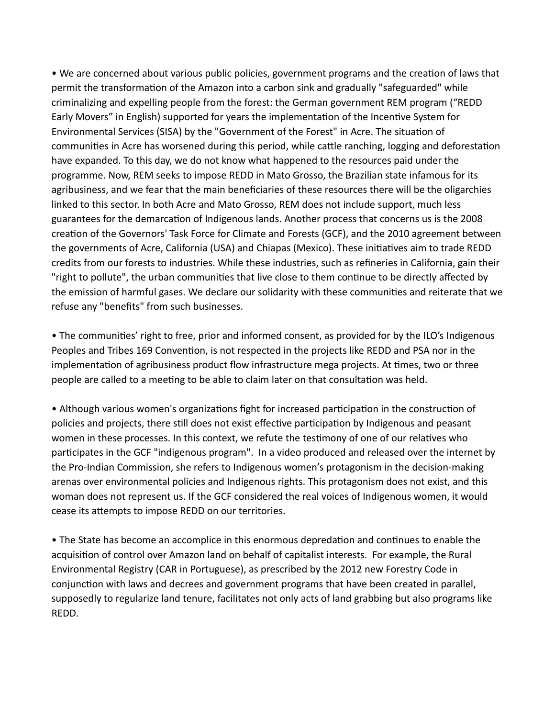• We are concerned about various public policies, government programs and the creation of laws that permit the transformation of the Amazon into a carbon sink and gradually "safeguarded" while criminalizing and expelling people from the forest: the German government REM program ("REDD Early Movers" in English) supported for years the implementation of the Incentive System for Environmental Services (SISA) by the "Government of the Forest" in Acre. The situation of communities in Acre has worsened during this period, while cattle ranching, logging and deforestation have expanded. To this day, we do not know what happened to the resources paid under the programme. Now, REM seeks to impose REDD in Mato Grosso, the Brazilian state infamous for its agribusiness, and we fear that the main beneficiaries of these resources there will be the oligarchies linked to this sector. In both Acre and Mato Grosso, REM does not include support, much less guarantees for the demarcation of Indigenous lands. Another process that concerns us is the 2008 creation of the Governors' Task Force for Climate and Forests (GCF), and the 2010 agreement between the governments of Acre, California (USA) and Chiapas (Mexico). These initiatives aim to trade REDD credits from our forests to industries. While these industries, such as refineries in California, gain their "right to pollute", the urban communities that live close to them continue to be directly affected by the emission of harmful gases. We declare our solidarity with these communities and reiterate that we refuse any "benefits" from such businesses.

• The communities' right to free, prior and informed consent, as provided for by the ILO's Indigenous Peoples and Tribes 169 Convention, is not respected in the projects like REDD and PSA nor in the implementation of agribusiness product flow infrastructure mega projects. At times, two or three people are called to a meeting to be able to claim later on that consultation was held.

• Although various women's organizations fight for increased participation in the construction of policies and projects, there still does not exist effective participation by Indigenous and peasant women in these processes. In this context, we refute the testimony of one of our relatives who participates in the GCF "indigenous program". In a video produced and released over the internet by the Pro-Indian Commission, she refers to Indigenous women's protagonism in the decision-making arenas over environmental policies and Indigenous rights. This protagonism does not exist, and this woman does not represent us. If the GCF considered the real voices of Indigenous women, it would cease its attempts to impose REDD on our territories.

• The State has become an accomplice in this enormous depredation and continues to enable the acquisition of control over Amazon land on behalf of capitalist interests. For example, the Rural Environmental Registry (CAR in Portuguese), as prescribed by the 2012 new Forestry Code in conjunction with laws and decrees and government programs that have been created in parallel, supposedly to regularize land tenure, facilitates not only acts of land grabbing but also programs like REDD.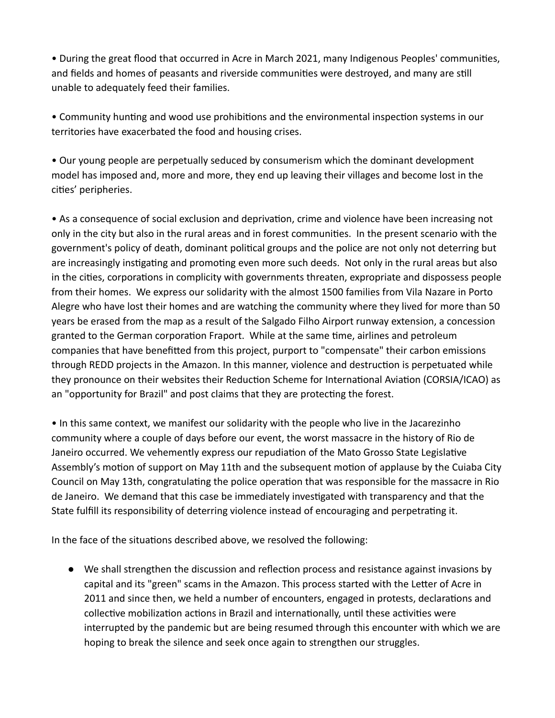• During the great flood that occurred in Acre in March 2021, many Indigenous Peoples' communities, and fields and homes of peasants and riverside communities were destroyed, and many are still unable to adequately feed their families.

• Community hunting and wood use prohibitions and the environmental inspection systems in our territories have exacerbated the food and housing crises.

• Our young people are perpetually seduced by consumerism which the dominant development model has imposed and, more and more, they end up leaving their villages and become lost in the cities' peripheries.

• As a consequence of social exclusion and deprivation, crime and violence have been increasing not only in the city but also in the rural areas and in forest communities. In the present scenario with the government's policy of death, dominant political groups and the police are not only not deterring but are increasingly instigating and promoting even more such deeds. Not only in the rural areas but also in the cities, corporations in complicity with governments threaten, expropriate and dispossess people from their homes. We express our solidarity with the almost 1500 families from Vila Nazare in Porto Alegre who have lost their homes and are watching the community where they lived for more than 50 years be erased from the map as a result of the Salgado Filho Airport runway extension, a concession granted to the German corporation Fraport. While at the same time, airlines and petroleum companies that have benefitted from this project, purport to "compensate" their carbon emissions through REDD projects in the Amazon. In this manner, violence and destruction is perpetuated while they pronounce on their websites their Reduction Scheme for International Aviation (CORSIA/ICAO) as an "opportunity for Brazil" and post claims that they are protecting the forest.

• In this same context, we manifest our solidarity with the people who live in the Jacarezinho community where a couple of days before our event, the worst massacre in the history of Rio de Janeiro occurred. We vehemently express our repudiation of the Mato Grosso State Legislative Assembly's motion of support on May 11th and the subsequent motion of applause by the Cuiaba City Council on May 13th, congratulating the police operation that was responsible for the massacre in Rio de Janeiro. We demand that this case be immediately investigated with transparency and that the State fulfill its responsibility of deterring violence instead of encouraging and perpetrating it.

In the face of the situations described above, we resolved the following:

● We shall strengthen the discussion and reflection process and resistance against invasions by capital and its "green" scams in the Amazon. This process started with the Letter of Acre in 2011 and since then, we held a number of encounters, engaged in protests, declarations and collective mobilization actions in Brazil and internationally, until these activities were interrupted by the pandemic but are being resumed through this encounter with which we are hoping to break the silence and seek once again to strengthen our struggles.